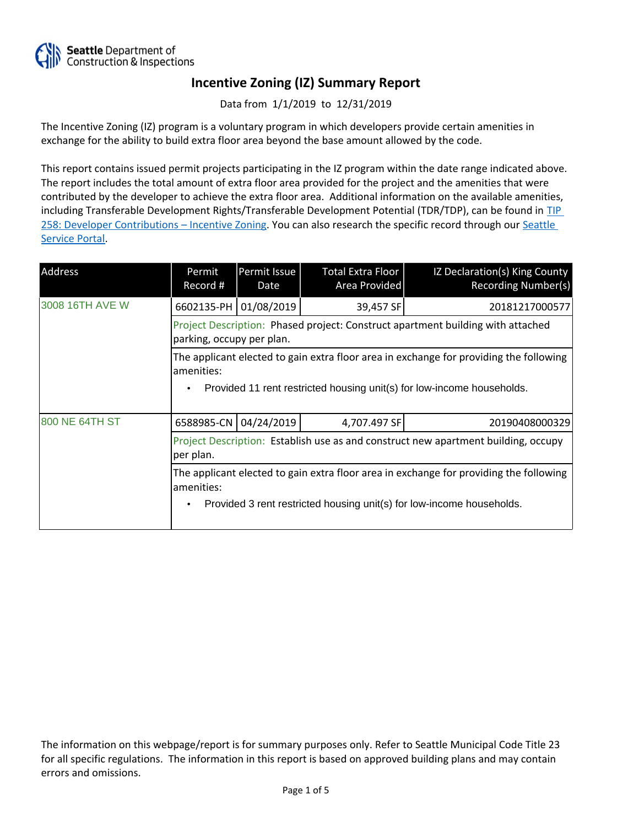

Data from 1/1/2019 to 12/31/2019

The Incentive Zoning (IZ) program is a voluntary program in which developers provide certain amenities in exchange for the ability to build extra floor area beyond the base amount allowed by the code.

This report contains issued permit projects participating in the IZ program within the date range indicated above. The report includes the total amount of extra floor area provided for the project and the amenities that were contributed by the developer to achieve the extra floor area. Additional information on the available amenities, including Transferable Development Rights/Transferable Development Potential (TDR/TDP), can be found in [TIP](http://www.seattle.gov/DPD/Publications/CAM/Tip258.pdf)  [258: Developer Contributions](http://www.seattle.gov/DPD/Publications/CAM/Tip258.pdf) [–](http://www.seattle.gov/DPD/Publications/CAM/Tip258.pdf) [Incentive Zoning.](http://www.seattle.gov/DPD/Publications/CAM/Tip258.pdf) You can also research the specific record through our [Seattle](https://cosaccela.seattle.gov/portal/welcome.aspx)  [Service Portal](https://cosaccela.seattle.gov/portal/welcome.aspx).

| Address         | Permit<br>Record #                                                                                                                                                            | Permit Issue<br>Date | Total Extra Floor<br>Area Provided | IZ Declaration(s) King County<br><b>Recording Number(s)</b> |  |
|-----------------|-------------------------------------------------------------------------------------------------------------------------------------------------------------------------------|----------------------|------------------------------------|-------------------------------------------------------------|--|
| 3008 16TH AVE W | 6602135-PH                                                                                                                                                                    | 01/08/2019           | 39,457 SF                          | 20181217000577                                              |  |
|                 | Project Description: Phased project: Construct apartment building with attached<br>parking, occupy per plan.                                                                  |                      |                                    |                                                             |  |
|                 | The applicant elected to gain extra floor area in exchange for providing the following<br>amenities:                                                                          |                      |                                    |                                                             |  |
|                 | Provided 11 rent restricted housing unit(s) for low-income households.                                                                                                        |                      |                                    |                                                             |  |
| 800 NE 64TH ST  | 6588985-CN 04/24/2019                                                                                                                                                         |                      | 4,707.497 SF                       | 20190408000329                                              |  |
|                 | Project Description: Establish use as and construct new apartment building, occupy<br>per plan.                                                                               |                      |                                    |                                                             |  |
|                 | The applicant elected to gain extra floor area in exchange for providing the following<br>amenities:<br>Provided 3 rent restricted housing unit(s) for low-income households. |                      |                                    |                                                             |  |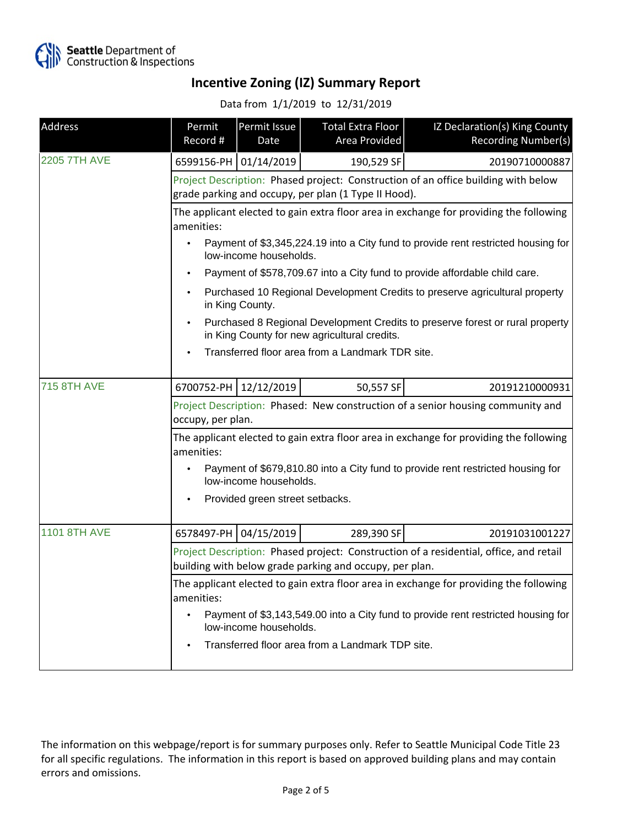

Data from 1/1/2019 to 12/31/2019

| Address             | Permit<br>Record #                                                                                                                                | Permit Issue<br>Date            | Total Extra Floor<br>Area Provided               | IZ Declaration(s) King County<br>Recording Number(s) |  |
|---------------------|---------------------------------------------------------------------------------------------------------------------------------------------------|---------------------------------|--------------------------------------------------|------------------------------------------------------|--|
| <b>2205 7TH AVE</b> |                                                                                                                                                   | 6599156-PH 01/14/2019           | 190,529 SF                                       | 20190710000887                                       |  |
|                     | Project Description: Phased project: Construction of an office building with below<br>grade parking and occupy, per plan (1 Type II Hood).        |                                 |                                                  |                                                      |  |
|                     | The applicant elected to gain extra floor area in exchange for providing the following<br>amenities:                                              |                                 |                                                  |                                                      |  |
|                     | Payment of \$3,345,224.19 into a City fund to provide rent restricted housing for<br>low-income households.                                       |                                 |                                                  |                                                      |  |
|                     | Payment of \$578,709.67 into a City fund to provide affordable child care.                                                                        |                                 |                                                  |                                                      |  |
|                     | Purchased 10 Regional Development Credits to preserve agricultural property<br>in King County.                                                    |                                 |                                                  |                                                      |  |
|                     | Purchased 8 Regional Development Credits to preserve forest or rural property<br>in King County for new agricultural credits.                     |                                 |                                                  |                                                      |  |
|                     | Transferred floor area from a Landmark TDR site.                                                                                                  |                                 |                                                  |                                                      |  |
| <b>715 8TH AVE</b>  |                                                                                                                                                   | 6700752-PH 12/12/2019           | 50,557 SF                                        | 20191210000931                                       |  |
|                     | Project Description: Phased: New construction of a senior housing community and<br>occupy, per plan.                                              |                                 |                                                  |                                                      |  |
|                     | The applicant elected to gain extra floor area in exchange for providing the following<br>amenities:                                              |                                 |                                                  |                                                      |  |
|                     | Payment of \$679,810.80 into a City fund to provide rent restricted housing for<br>low-income households.                                         |                                 |                                                  |                                                      |  |
|                     |                                                                                                                                                   | Provided green street setbacks. |                                                  |                                                      |  |
| <b>1101 8TH AVE</b> |                                                                                                                                                   | 6578497-PH 04/15/2019           | 289,390 SF                                       | 20191031001227                                       |  |
|                     | Project Description: Phased project: Construction of a residential, office, and retail<br>building with below grade parking and occupy, per plan. |                                 |                                                  |                                                      |  |
|                     | The applicant elected to gain extra floor area in exchange for providing the following<br>amenities:                                              |                                 |                                                  |                                                      |  |
|                     | Payment of \$3,143,549.00 into a City fund to provide rent restricted housing for<br>low-income households.                                       |                                 |                                                  |                                                      |  |
|                     |                                                                                                                                                   |                                 | Transferred floor area from a Landmark TDP site. |                                                      |  |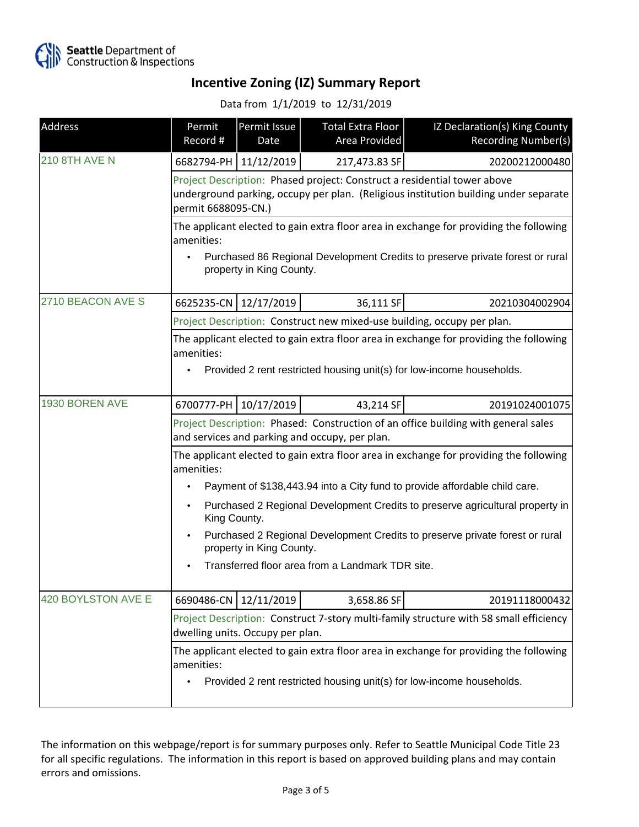

Data from 1/1/2019 to 12/31/2019

| Address              | Permit<br>Record #                                                                                                                                                                                                                           | Permit Issue<br>Date    | <b>Total Extra Floor</b><br>Area Provided | IZ Declaration(s) King County<br>Recording Number(s)                    |  |
|----------------------|----------------------------------------------------------------------------------------------------------------------------------------------------------------------------------------------------------------------------------------------|-------------------------|-------------------------------------------|-------------------------------------------------------------------------|--|
| <b>210 8TH AVE N</b> |                                                                                                                                                                                                                                              | 6682794-PH   11/12/2019 | 217,473.83 SF                             | 20200212000480                                                          |  |
|                      | Project Description: Phased project: Construct a residential tower above<br>underground parking, occupy per plan. (Religious institution building under separate<br>permit 6688095-CN.)                                                      |                         |                                           |                                                                         |  |
|                      | The applicant elected to gain extra floor area in exchange for providing the following<br>amenities:<br>Purchased 86 Regional Development Credits to preserve private forest or rural<br>property in King County.                            |                         |                                           |                                                                         |  |
| 2710 BEACON AVE S    | 6625235-CN 12/17/2019                                                                                                                                                                                                                        |                         | 36,111 SF                                 | 20210304002904                                                          |  |
|                      |                                                                                                                                                                                                                                              |                         |                                           | Project Description: Construct new mixed-use building, occupy per plan. |  |
|                      | The applicant elected to gain extra floor area in exchange for providing the following<br>amenities:<br>Provided 2 rent restricted housing unit(s) for low-income households.                                                                |                         |                                           |                                                                         |  |
| 1930 BOREN AVE       |                                                                                                                                                                                                                                              | 6700777-PH 10/17/2019   | 43,214 SF                                 | 20191024001075                                                          |  |
|                      | Project Description: Phased: Construction of an office building with general sales<br>and services and parking and occupy, per plan.<br>The applicant elected to gain extra floor area in exchange for providing the following<br>amenities: |                         |                                           |                                                                         |  |
|                      | Payment of \$138,443.94 into a City fund to provide affordable child care.                                                                                                                                                                   |                         |                                           |                                                                         |  |
|                      | Purchased 2 Regional Development Credits to preserve agricultural property in<br>King County.                                                                                                                                                |                         |                                           |                                                                         |  |
|                      | Purchased 2 Regional Development Credits to preserve private forest or rural<br>property in King County.                                                                                                                                     |                         |                                           |                                                                         |  |
|                      | Transferred floor area from a Landmark TDR site.                                                                                                                                                                                             |                         |                                           |                                                                         |  |
| 420 BOYLSTON AVE E   | 6690486-CN                                                                                                                                                                                                                                   | 12/11/2019              | 3,658.86 SF                               | 20191118000432                                                          |  |
|                      | Project Description: Construct 7-story multi-family structure with 58 small efficiency<br>dwelling units. Occupy per plan.<br>The applicant elected to gain extra floor area in exchange for providing the following                         |                         |                                           |                                                                         |  |
|                      | amenities:                                                                                                                                                                                                                                   |                         |                                           | Provided 2 rent restricted housing unit(s) for low-income households.   |  |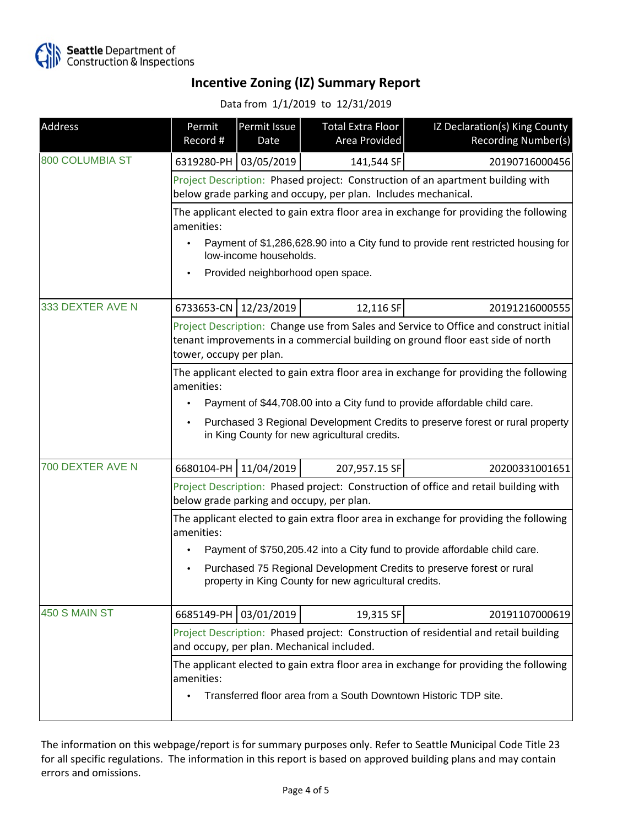

#### Data from 1/1/2019 to 12/31/2019

| Address                | Permit<br>Record #                                                                                                                                                                                   | Permit Issue<br>Date | <b>Total Extra Floor</b><br>Area Provided | IZ Declaration(s) King County<br>Recording Number(s) |
|------------------------|------------------------------------------------------------------------------------------------------------------------------------------------------------------------------------------------------|----------------------|-------------------------------------------|------------------------------------------------------|
| <b>800 COLUMBIA ST</b> | 6319280-PH 03/05/2019                                                                                                                                                                                |                      | 141,544 SF                                | 20190716000456                                       |
|                        | Project Description: Phased project: Construction of an apartment building with<br>below grade parking and occupy, per plan. Includes mechanical.                                                    |                      |                                           |                                                      |
|                        | The applicant elected to gain extra floor area in exchange for providing the following<br>amenities:                                                                                                 |                      |                                           |                                                      |
|                        | Payment of \$1,286,628.90 into a City fund to provide rent restricted housing for<br>low-income households.                                                                                          |                      |                                           |                                                      |
|                        | Provided neighborhood open space.                                                                                                                                                                    |                      |                                           |                                                      |
| 333 DEXTER AVE N       | 6733653-CN 12/23/2019                                                                                                                                                                                |                      | 12,116 SF                                 | 20191216000555                                       |
|                        | Project Description: Change use from Sales and Service to Office and construct initial<br>tenant improvements in a commercial building on ground floor east side of north<br>tower, occupy per plan. |                      |                                           |                                                      |
|                        | The applicant elected to gain extra floor area in exchange for providing the following<br>amenities:<br>Payment of \$44,708.00 into a City fund to provide affordable child care.                    |                      |                                           |                                                      |
|                        | Purchased 3 Regional Development Credits to preserve forest or rural property<br>in King County for new agricultural credits.                                                                        |                      |                                           |                                                      |
| 700 DEXTER AVE N       | 6680104-PH 11/04/2019                                                                                                                                                                                |                      | 207,957.15 SF                             | 20200331001651                                       |
|                        | Project Description: Phased project: Construction of office and retail building with<br>below grade parking and occupy, per plan.                                                                    |                      |                                           |                                                      |
|                        | The applicant elected to gain extra floor area in exchange for providing the following<br>amenities:                                                                                                 |                      |                                           |                                                      |
|                        | Payment of \$750,205.42 into a City fund to provide affordable child care.                                                                                                                           |                      |                                           |                                                      |
|                        | Purchased 75 Regional Development Credits to preserve forest or rural<br>property in King County for new agricultural credits.                                                                       |                      |                                           |                                                      |
| 450 S MAIN ST          | 6685149-PH 03/01/2019                                                                                                                                                                                |                      | 19,315 SF                                 | 20191107000619                                       |
|                        | Project Description: Phased project: Construction of residential and retail building<br>and occupy, per plan. Mechanical included.                                                                   |                      |                                           |                                                      |
|                        | The applicant elected to gain extra floor area in exchange for providing the following<br>amenities:<br>Transferred floor area from a South Downtown Historic TDP site.                              |                      |                                           |                                                      |
|                        |                                                                                                                                                                                                      |                      |                                           |                                                      |